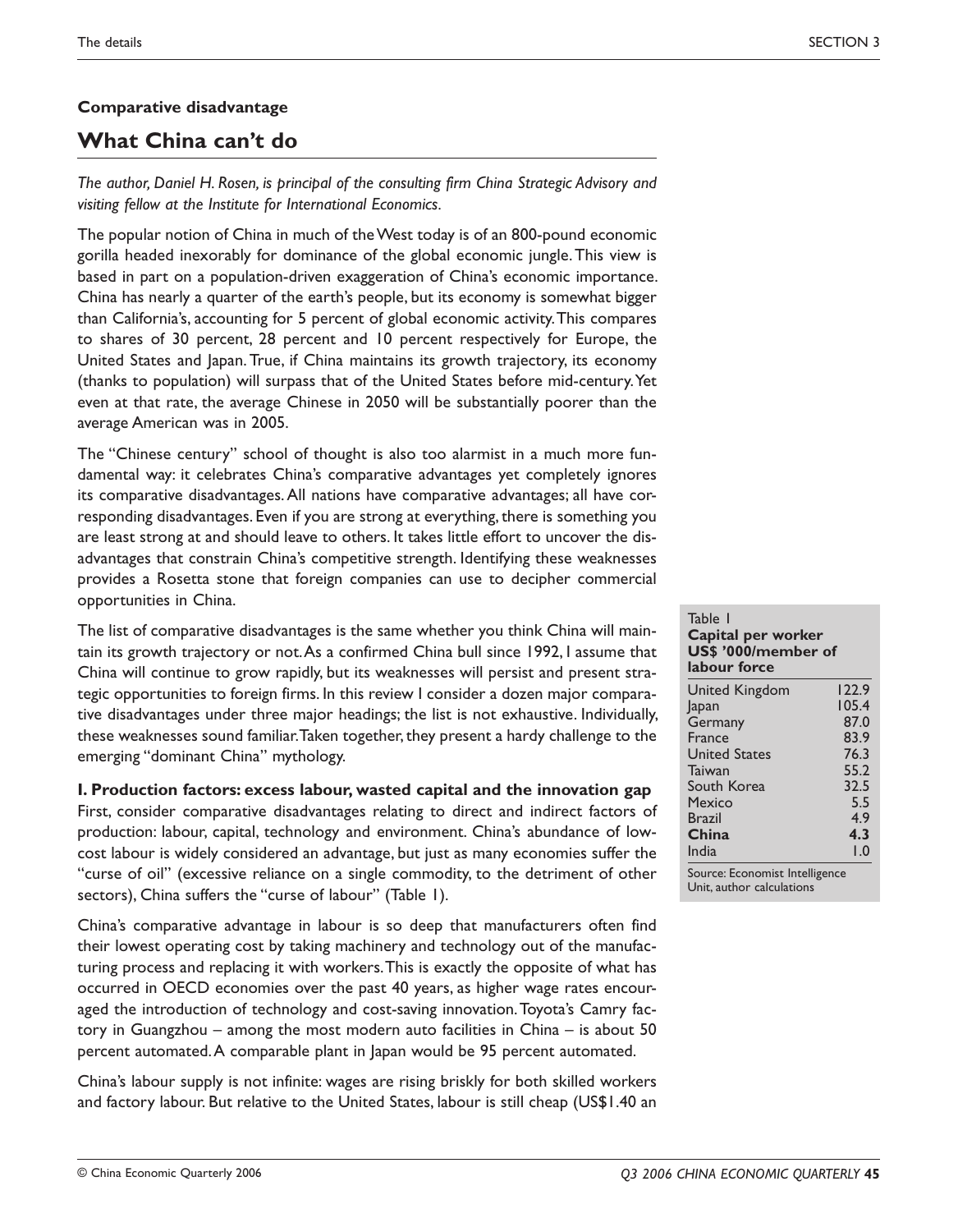# **Comparative disadvantage**

# **What China can't do**

*The author, Daniel H. Rosen, is principal of the consulting firm China Strategic Advisory and visiting fellow at the Institute for International Economics.*

The popular notion of China in much of the West today is of an 800-pound economic gorilla headed inexorably for dominance of the global economic jungle. This view is based in part on a population-driven exaggeration of China's economic importance. China has nearly a quarter of the earth's people, but its economy is somewhat bigger than California's, accounting for 5 percent of global economic activity. This compares to shares of 30 percent, 28 percent and 10 percent respectively for Europe, the United States and Japan. True, if China maintains its growth trajectory, its economy (thanks to population) will surpass that of the United States before mid-century. Yet even at that rate, the average Chinese in 2050 will be substantially poorer than the average American was in 2005.

The "Chinese century" school of thought is also too alarmist in a much more fundamental way: it celebrates China's comparative advantages yet completely ignores its comparative disadvantages. All nations have comparative advantages; all have corresponding disadvantages. Even if you are strong at everything, there is something you are least strong at and should leave to others. It takes little effort to uncover the disadvantages that constrain China's competitive strength. Identifying these weaknesses provides a Rosetta stone that foreign companies can use to decipher commercial opportunities in China.

The list of comparative disadvantages is the same whether you think China will maintain its growth trajectory or not. As a confirmed China bull since 1992, I assume that China will continue to grow rapidly, but its weaknesses will persist and present strategic opportunities to foreign firms. In this review I consider a dozen major comparative disadvantages under three major headings; the list is not exhaustive. Individually, these weaknesses sound familiar. Taken together, they present a hardy challenge to the emerging "dominant China" mythology.

#### **I. Production factors: excess labour, wasted capital and the innovation gap**

First, consider comparative disadvantages relating to direct and indirect factors of production: labour, capital, technology and environment. China's abundance of lowcost labour is widely considered an advantage, but just as many economies suffer the "curse of oil" (excessive reliance on a single commodity, to the detriment of other sectors), China suffers the "curse of labour" (Table 1).

China's comparative advantage in labour is so deep that manufacturers often find their lowest operating cost by taking machinery and technology out of the manufacturing process and replacing it with workers. This is exactly the opposite of what has occurred in OECD economies over the past 40 years, as higher wage rates encouraged the introduction of technology and cost-saving innovation. Toyota's Camry factory in Guangzhou – among the most modern auto facilities in China – is about 50 percent automated. A comparable plant in Japan would be 95 percent automated.

China's labour supply is not infinite: wages are rising briskly for both skilled workers and factory labour. But relative to the United States, labour is still cheap (US\$1.40 an

| Capital per worker<br>US\$ '000/member of<br>labour force |  |  |  |
|-----------------------------------------------------------|--|--|--|
| 122.9                                                     |  |  |  |
| 105.4                                                     |  |  |  |
| 87.0                                                      |  |  |  |
| 83.9                                                      |  |  |  |
| 76.3                                                      |  |  |  |
| 55.2                                                      |  |  |  |
| 32.5                                                      |  |  |  |
| 5.5                                                       |  |  |  |
| 4.9                                                       |  |  |  |
| 4.3                                                       |  |  |  |
| 1.0                                                       |  |  |  |
|                                                           |  |  |  |

Table 1

Unit, author calculations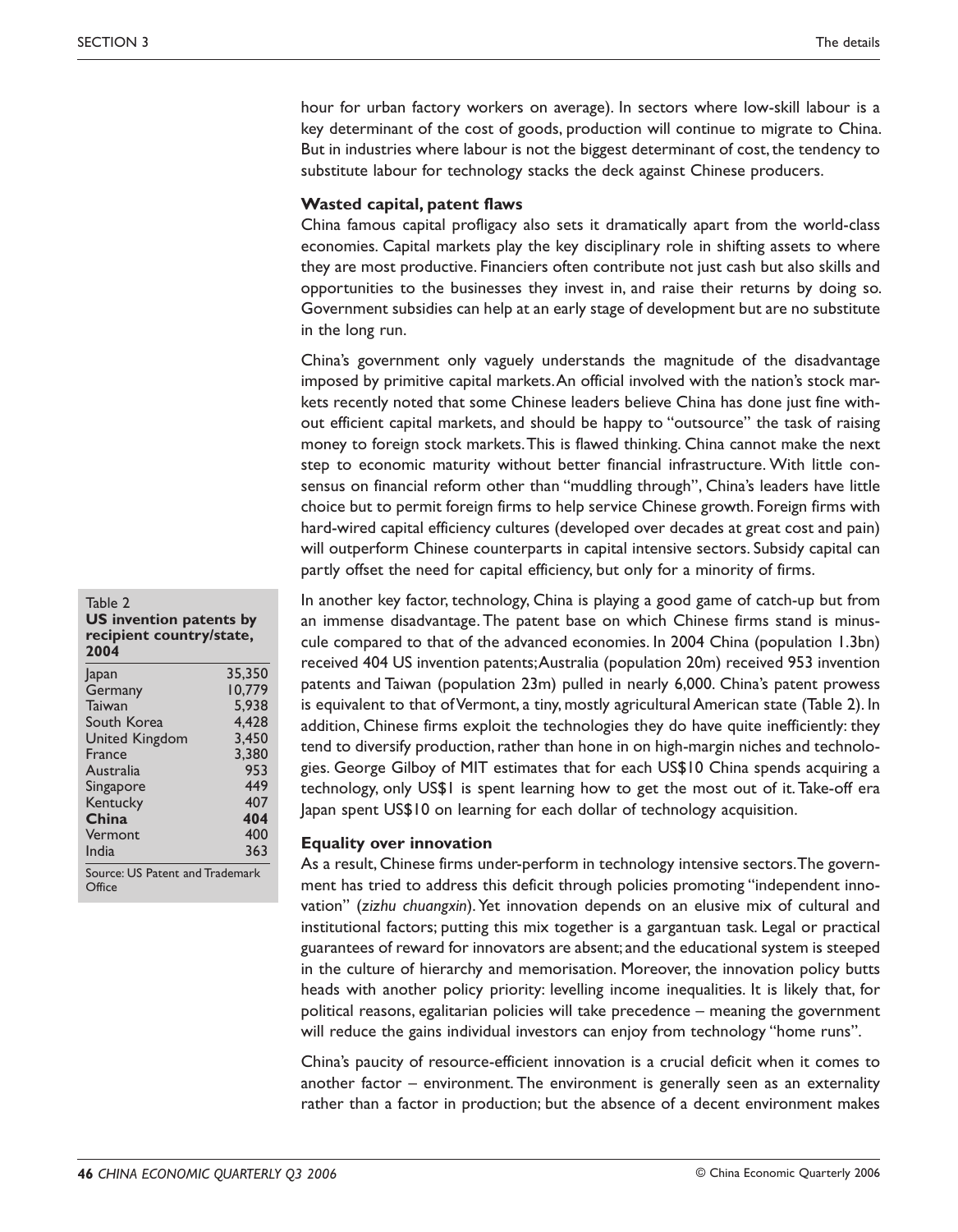hour for urban factory workers on average). In sectors where low-skill labour is a key determinant of the cost of goods, production will continue to migrate to China. But in industries where labour is not the biggest determinant of cost, the tendency to substitute labour for technology stacks the deck against Chinese producers.

#### **Wasted capital, patent flaws**

China famous capital profligacy also sets it dramatically apart from the world-class economies. Capital markets play the key disciplinary role in shifting assets to where they are most productive. Financiers often contribute not just cash but also skills and opportunities to the businesses they invest in, and raise their returns by doing so. Government subsidies can help at an early stage of development but are no substitute in the long run.

China's government only vaguely understands the magnitude of the disadvantage imposed by primitive capital markets. An official involved with the nation's stock markets recently noted that some Chinese leaders believe China has done just fine without efficient capital markets, and should be happy to "outsource" the task of raising money to foreign stock markets. This is flawed thinking. China cannot make the next step to economic maturity without better financial infrastructure. With little consensus on financial reform other than "muddling through", China's leaders have little choice but to permit foreign firms to help service Chinese growth. Foreign firms with hard-wired capital efficiency cultures (developed over decades at great cost and pain) will outperform Chinese counterparts in capital intensive sectors. Subsidy capital can partly offset the need for capital efficiency, but only for a minority of firms.

In another key factor, technology, China is playing a good game of catch-up but from an immense disadvantage. The patent base on which Chinese firms stand is minuscule compared to that of the advanced economies. In 2004 China (population 1.3bn) received 404 US invention patents; Australia (population 20m) received 953 invention patents and Taiwan (population 23m) pulled in nearly 6,000. China's patent prowess is equivalent to that of Vermont, a tiny, mostly agricultural American state (Table 2). In addition, Chinese firms exploit the technologies they do have quite inefficiently: they tend to diversify production, rather than hone in on high-margin niches and technologies. George Gilboy of MIT estimates that for each US\$10 China spends acquiring a technology, only US\$1 is spent learning how to get the most out of it. Take-off era Japan spent US\$10 on learning for each dollar of technology acquisition.

#### **Equality over innovation**

As a result, Chinese firms under-perform in technology intensive sectors. The government has tried to address this deficit through policies promoting "independent innovation" (*zizhu chuangxin*). Yet innovation depends on an elusive mix of cultural and institutional factors; putting this mix together is a gargantuan task. Legal or practical guarantees of reward for innovators are absent; and the educational system is steeped in the culture of hierarchy and memorisation. Moreover, the innovation policy butts heads with another policy priority: levelling income inequalities. It is likely that, for political reasons, egalitarian policies will take precedence – meaning the government will reduce the gains individual investors can enjoy from technology "home runs".

China's paucity of resource-efficient innovation is a crucial deficit when it comes to another factor – environment. The environment is generally seen as an externality rather than a factor in production; but the absence of a decent environment makes

#### Table 2 **US invention patents by recipient country/state, 2004**

| Japan                           | 35,350 |  |  |  |
|---------------------------------|--------|--|--|--|
| Germany                         | 10.779 |  |  |  |
| Taiwan                          | 5,938  |  |  |  |
| South Korea                     | 4.428  |  |  |  |
| <b>United Kingdom</b>           | 3.450  |  |  |  |
| France                          | 3.380  |  |  |  |
| Australia                       | 953    |  |  |  |
| Singapore                       | 449    |  |  |  |
| Kentucky                        | 407    |  |  |  |
| China                           | 404    |  |  |  |
| Vermont                         | 400    |  |  |  |
| India                           | 363    |  |  |  |
| Source: US Patent and Trademark |        |  |  |  |

Office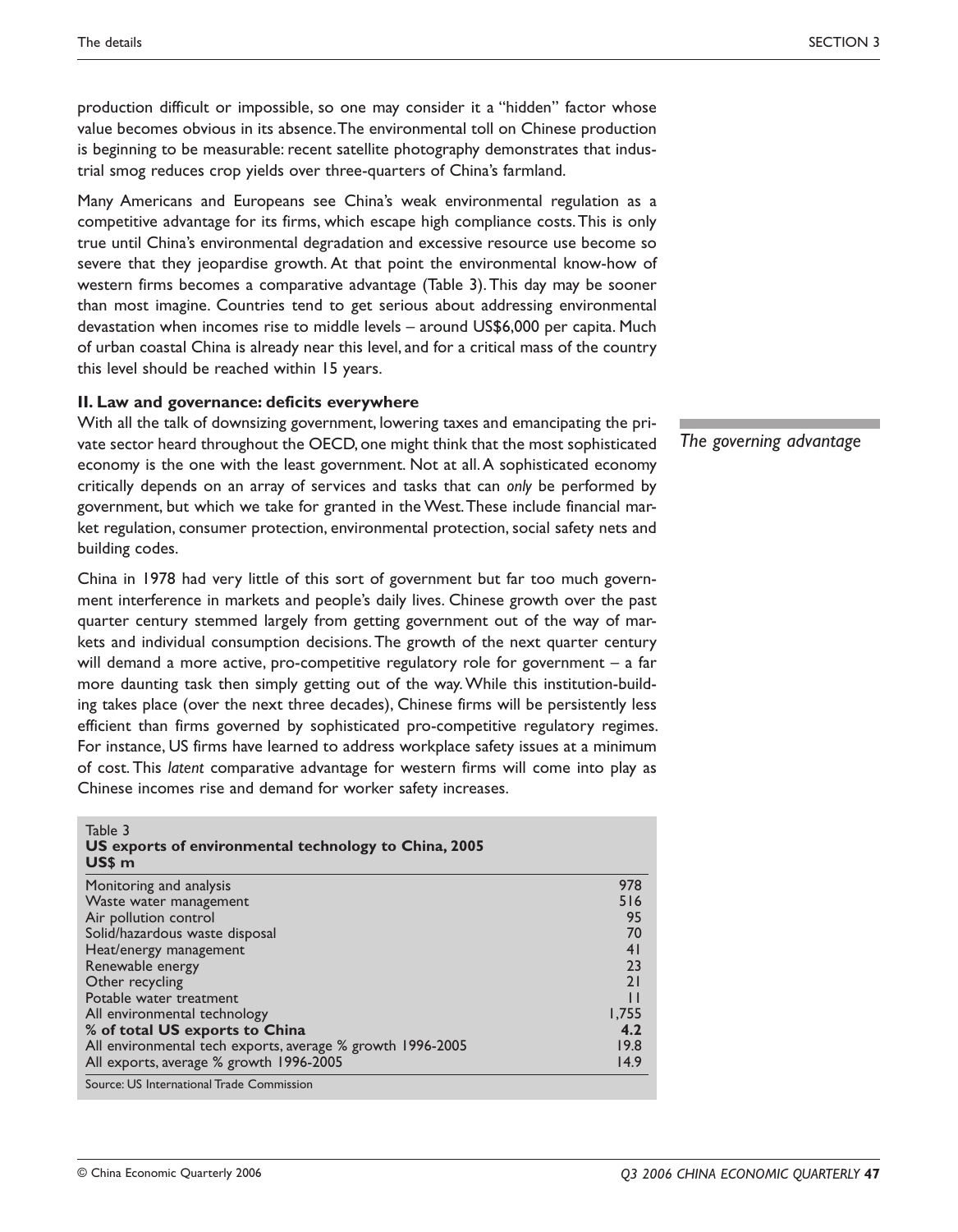production difficult or impossible, so one may consider it a "hidden" factor whose value becomes obvious in its absence. The environmental toll on Chinese production is beginning to be measurable: recent satellite photography demonstrates that industrial smog reduces crop yields over three-quarters of China's farmland.

Many Americans and Europeans see China's weak environmental regulation as a competitive advantage for its firms, which escape high compliance costs. This is only true until China's environmental degradation and excessive resource use become so severe that they jeopardise growth. At that point the environmental know-how of western firms becomes a comparative advantage (Table 3). This day may be sooner than most imagine. Countries tend to get serious about addressing environmental devastation when incomes rise to middle levels – around US\$6,000 per capita. Much of urban coastal China is already near this level, and for a critical mass of the country this level should be reached within 15 years.

#### **II. Law and governance: deficits everywhere**

With all the talk of downsizing government, lowering taxes and emancipating the private sector heard throughout the OECD, one might think that the most sophisticated economy is the one with the least government. Not at all. A sophisticated economy critically depends on an array of services and tasks that can *only* be performed by government, but which we take for granted in the West. These include financial market regulation, consumer protection, environmental protection, social safety nets and building codes.

China in 1978 had very little of this sort of government but far too much government interference in markets and people's daily lives. Chinese growth over the past quarter century stemmed largely from getting government out of the way of markets and individual consumption decisions. The growth of the next quarter century will demand a more active, pro-competitive regulatory role for government  $-$  a far more daunting task then simply getting out of the way. While this institution-building takes place (over the next three decades), Chinese firms will be persistently less efficient than firms governed by sophisticated pro-competitive regulatory regimes. For instance, US firms have learned to address workplace safety issues at a minimum of cost. This *latent* comparative advantage for western firms will come into play as Chinese incomes rise and demand for worker safety increases.

| ט טושו<br>US exports of environmental technology to China, 2005<br>US\$ m |              |  |  |
|---------------------------------------------------------------------------|--------------|--|--|
| Monitoring and analysis                                                   | 978          |  |  |
| Waste water management                                                    | 516          |  |  |
| Air pollution control                                                     | 95           |  |  |
| Solid/hazardous waste disposal                                            | 70           |  |  |
| Heat/energy management                                                    | 41           |  |  |
| Renewable energy                                                          | 23           |  |  |
| Other recycling                                                           | 21           |  |  |
| Potable water treatment                                                   | $\mathbf{L}$ |  |  |
| All environmental technology                                              | 1,755        |  |  |
| % of total US exports to China                                            | 4.2          |  |  |
| All environmental tech exports, average % growth 1996-2005                | 19.8         |  |  |
| All exports, average % growth 1996-2005                                   | 14.9         |  |  |
| Source: US International Trade Commission                                 |              |  |  |

*The governing advantage*

Table 3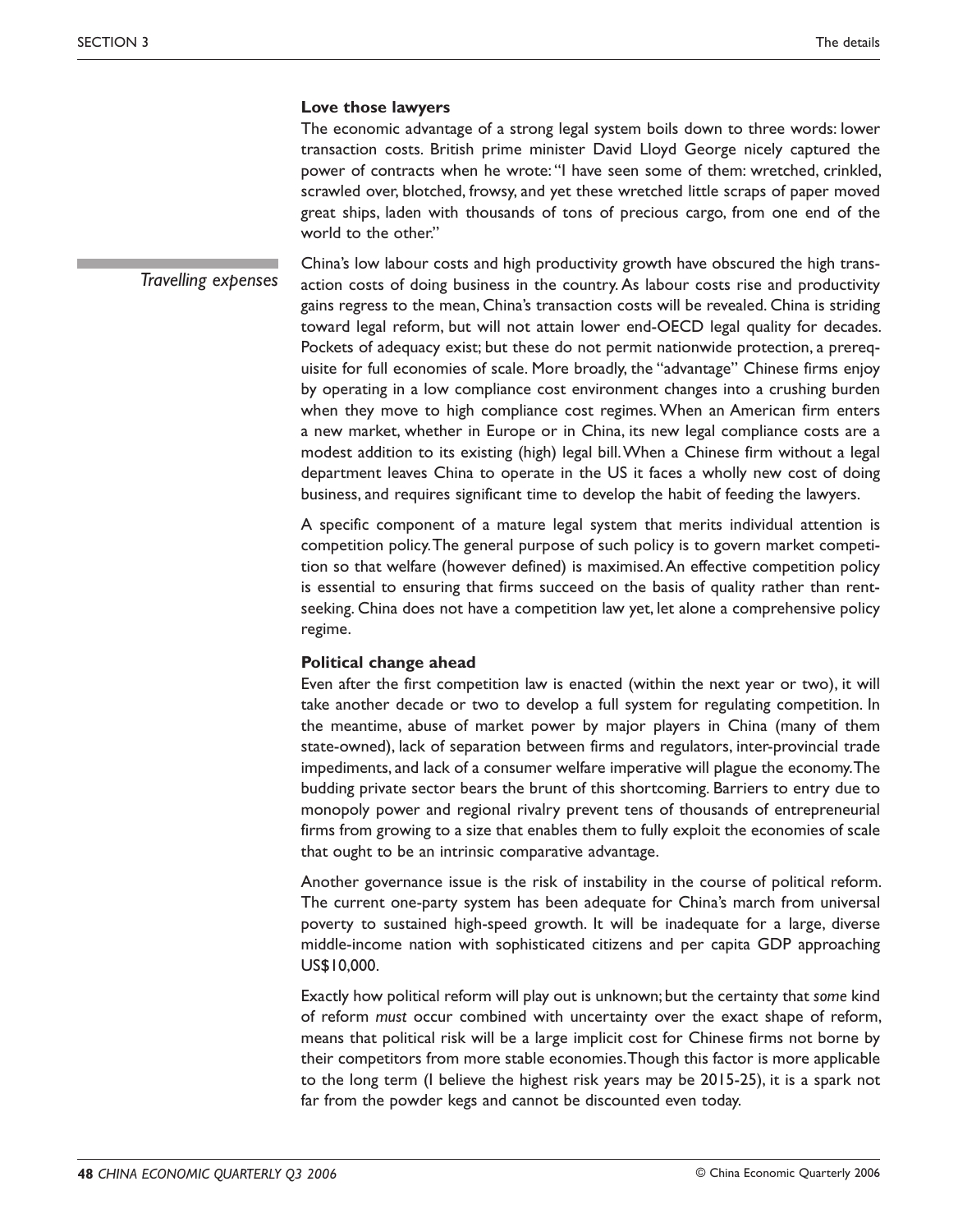#### **Love those lawyers**

The economic advantage of a strong legal system boils down to three words: lower transaction costs. British prime minister David Lloyd George nicely captured the power of contracts when he wrote: "I have seen some of them: wretched, crinkled, scrawled over, blotched, frowsy, and yet these wretched little scraps of paper moved great ships, laden with thousands of tons of precious cargo, from one end of the world to the other."

China's low labour costs and high productivity growth have obscured the high transaction costs of doing business in the country. As labour costs rise and productivity gains regress to the mean, China's transaction costs will be revealed. China is striding toward legal reform, but will not attain lower end-OECD legal quality for decades. Pockets of adequacy exist; but these do not permit nationwide protection, a prerequisite for full economies of scale. More broadly, the "advantage" Chinese firms enjoy by operating in a low compliance cost environment changes into a crushing burden when they move to high compliance cost regimes. When an American firm enters a new market, whether in Europe or in China, its new legal compliance costs are a modest addition to its existing (high) legal bill. When a Chinese firm without a legal department leaves China to operate in the US it faces a wholly new cost of doing business, and requires significant time to develop the habit of feeding the lawyers. *Travelling expenses*

> A specific component of a mature legal system that merits individual attention is competition policy. The general purpose of such policy is to govern market competition so that welfare (however defined) is maximised. An effective competition policy is essential to ensuring that firms succeed on the basis of quality rather than rentseeking. China does not have a competition law yet, let alone a comprehensive policy regime.

# **Political change ahead**

Even after the first competition law is enacted (within the next year or two), it will take another decade or two to develop a full system for regulating competition. In the meantime, abuse of market power by major players in China (many of them state-owned), lack of separation between firms and regulators, inter-provincial trade impediments, and lack of a consumer welfare imperative will plague the economy. The budding private sector bears the brunt of this shortcoming. Barriers to entry due to monopoly power and regional rivalry prevent tens of thousands of entrepreneurial firms from growing to a size that enables them to fully exploit the economies of scale that ought to be an intrinsic comparative advantage.

Another governance issue is the risk of instability in the course of political reform. The current one-party system has been adequate for China's march from universal poverty to sustained high-speed growth. It will be inadequate for a large, diverse middle-income nation with sophisticated citizens and per capita GDP approaching US\$10,000.

Exactly how political reform will play out is unknown; but the certainty that *some* kind of reform *must* occur combined with uncertainty over the exact shape of reform, means that political risk will be a large implicit cost for Chinese firms not borne by their competitors from more stable economies. Though this factor is more applicable to the long term (I believe the highest risk years may be 2015-25), it is a spark not far from the powder kegs and cannot be discounted even today.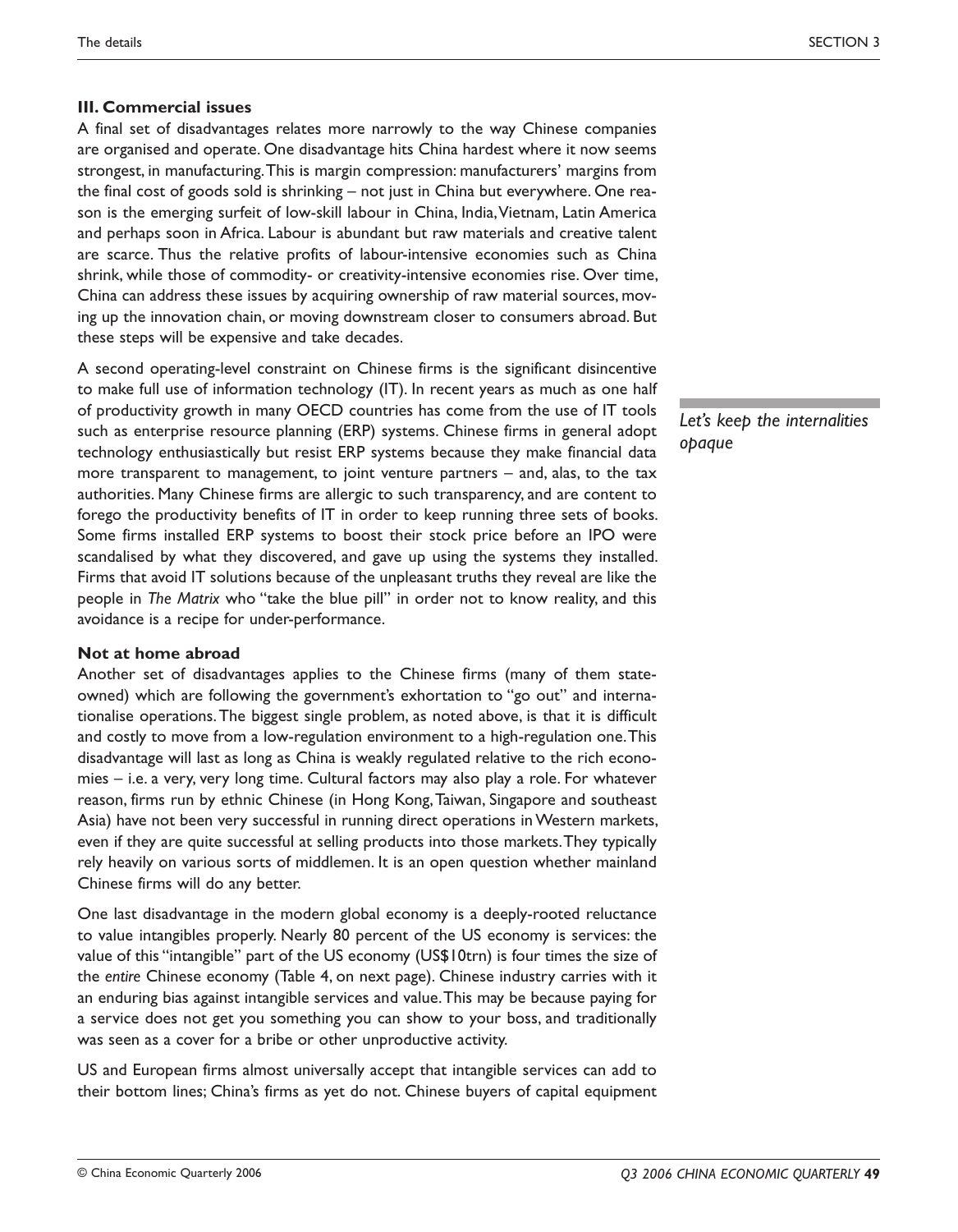# **III. Commercial issues**

A final set of disadvantages relates more narrowly to the way Chinese companies are organised and operate. One disadvantage hits China hardest where it now seems strongest, in manufacturing. This is margin compression: manufacturers' margins from the final cost of goods sold is shrinking – not just in China but everywhere. One reason is the emerging surfeit of low-skill labour in China, India, Vietnam, Latin America and perhaps soon in Africa. Labour is abundant but raw materials and creative talent are scarce. Thus the relative profits of labour-intensive economies such as China shrink, while those of commodity- or creativity-intensive economies rise. Over time, China can address these issues by acquiring ownership of raw material sources, moving up the innovation chain, or moving downstream closer to consumers abroad. But these steps will be expensive and take decades.

A second operating-level constraint on Chinese firms is the significant disincentive to make full use of information technology (IT). In recent years as much as one half of productivity growth in many OECD countries has come from the use of IT tools such as enterprise resource planning (ERP) systems. Chinese firms in general adopt technology enthusiastically but resist ERP systems because they make financial data more transparent to management, to joint venture partners – and, alas, to the tax authorities. Many Chinese firms are allergic to such transparency, and are content to forego the productivity benefits of IT in order to keep running three sets of books. Some firms installed ERP systems to boost their stock price before an IPO were scandalised by what they discovered, and gave up using the systems they installed. Firms that avoid IT solutions because of the unpleasant truths they reveal are like the people in *The Matrix* who "take the blue pill" in order not to know reality, and this avoidance is a recipe for under-performance.

# **Not at home abroad**

Another set of disadvantages applies to the Chinese firms (many of them stateowned) which are following the government's exhortation to "go out" and internationalise operations. The biggest single problem, as noted above, is that it is difficult and costly to move from a low-regulation environment to a high-regulation one. This disadvantage will last as long as China is weakly regulated relative to the rich economies – i.e. a very, very long time. Cultural factors may also play a role. For whatever reason, firms run by ethnic Chinese (in Hong Kong, Taiwan, Singapore and southeast Asia) have not been very successful in running direct operations in Western markets, even if they are quite successful at selling products into those markets. They typically rely heavily on various sorts of middlemen. It is an open question whether mainland Chinese firms will do any better.

One last disadvantage in the modern global economy is a deeply-rooted reluctance to value intangibles properly. Nearly 80 percent of the US economy is services: the value of this "intangible" part of the US economy (US\$10trn) is four times the size of the *entire* Chinese economy (Table 4, on next page). Chinese industry carries with it an enduring bias against intangible services and value. This may be because paying for a service does not get you something you can show to your boss, and traditionally was seen as a cover for a bribe or other unproductive activity.

US and European firms almost universally accept that intangible services can add to their bottom lines; China's firms as yet do not. Chinese buyers of capital equipment *Let's keep the internalities opaque*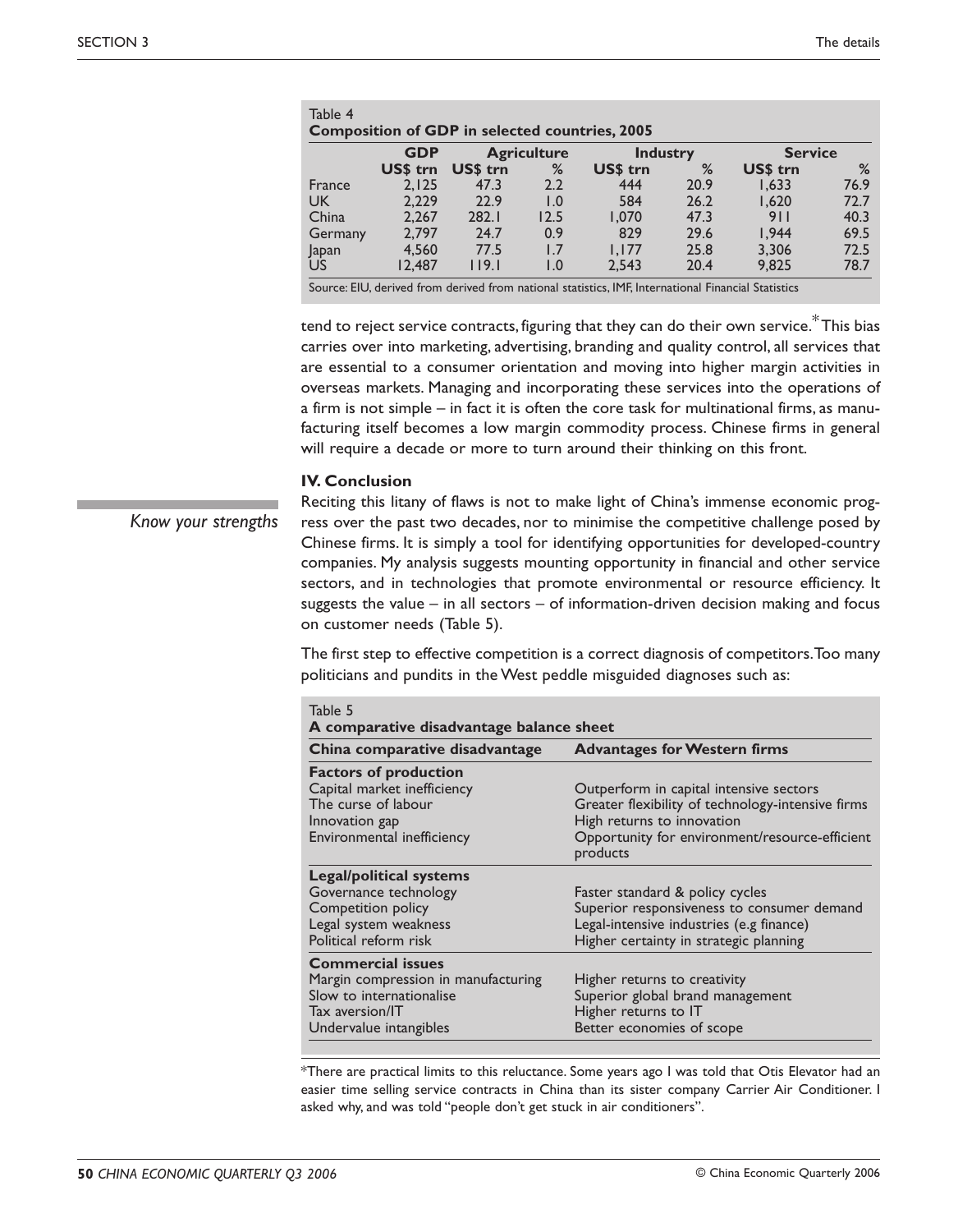|         | <b>GDP</b>      | <b>Composition of GDP in selected countries, 2005</b><br><b>Agriculture</b> |               | <b>Industry</b> |      | <b>Service</b> |      |
|---------|-----------------|-----------------------------------------------------------------------------|---------------|-----------------|------|----------------|------|
|         | <b>US\$ trn</b> | <b>USS trn</b>                                                              | %             | <b>USS trn</b>  | %    | US\$ trn       | %    |
| France  | 2.125           | 47.3                                                                        | 2.2           | 444             | 20.9 | 1.633          | 76.9 |
| UK.     | 2.229           | 22.9                                                                        | 1.0           | 584             | 26.2 | 1.620          | 72.7 |
| China   | 2.267           | 282.1                                                                       | 12.5          | 1.070           | 47.3 | 911            | 40.3 |
| Germany | 2.797           | 24.7                                                                        | 0.9           | 829             | 29.6 | 1.944          | 69.5 |
| Japan   | 4.560           | 77.5                                                                        | 1.7           | 1.177           | 25.8 | 3,306          | 72.5 |
| US      | 12.487          | 119.1                                                                       | $\mathsf{L}0$ | 2.543           | 20.4 | 9.825          | 78.7 |

Source: EIU, derived from derived from national statistics, IMF, International Financial Statistics

tend to reject service contracts, figuring that they can do their own service.<sup>\*</sup> This bias carries over into marketing, advertising, branding and quality control, all services that are essential to a consumer orientation and moving into higher margin activities in overseas markets. Managing and incorporating these services into the operations of a firm is not simple – in fact it is often the core task for multinational firms, as manufacturing itself becomes a low margin commodity process. Chinese firms in general will require a decade or more to turn around their thinking on this front.

#### **IV. Conclusion**

*Know your strengths*

Reciting this litany of flaws is not to make light of China's immense economic progress over the past two decades, nor to minimise the competitive challenge posed by Chinese firms. It is simply a tool for identifying opportunities for developed-country companies. My analysis suggests mounting opportunity in financial and other service sectors, and in technologies that promote environmental or resource efficiency. It suggests the value – in all sectors – of information-driven decision making and focus on customer needs (Table 5).

The first step to effective competition is a correct diagnosis of competitors. Too many politicians and pundits in the West peddle misguided diagnoses such as:

| Table 5<br>A comparative disadvantage balance sheet                                                                                      |                                                                                                                                                                                          |  |  |  |  |  |
|------------------------------------------------------------------------------------------------------------------------------------------|------------------------------------------------------------------------------------------------------------------------------------------------------------------------------------------|--|--|--|--|--|
| China comparative disadvantage                                                                                                           | <b>Advantages for Western firms</b>                                                                                                                                                      |  |  |  |  |  |
| <b>Factors of production</b><br>Capital market inefficiency<br>The curse of labour<br>Innovation gap<br>Environmental inefficiency       | Outperform in capital intensive sectors<br>Greater flexibility of technology-intensive firms<br>High returns to innovation<br>Opportunity for environment/resource-efficient<br>products |  |  |  |  |  |
| <b>Legal/political systems</b><br>Governance technology<br>Competition policy<br>Legal system weakness<br>Political reform risk          | Faster standard & policy cycles<br>Superior responsiveness to consumer demand<br>Legal-intensive industries (e.g finance)<br>Higher certainty in strategic planning                      |  |  |  |  |  |
| <b>Commercial issues</b><br>Margin compression in manufacturing<br>Slow to internationalise<br>Tax aversion/IT<br>Undervalue intangibles | Higher returns to creativity<br>Superior global brand management<br>Higher returns to IT<br>Better economies of scope                                                                    |  |  |  |  |  |

\*There are practical limits to this reluctance. Some years ago I was told that Otis Elevator had an easier time selling service contracts in China than its sister company Carrier Air Conditioner. I asked why, and was told "people don't get stuck in air conditioners".